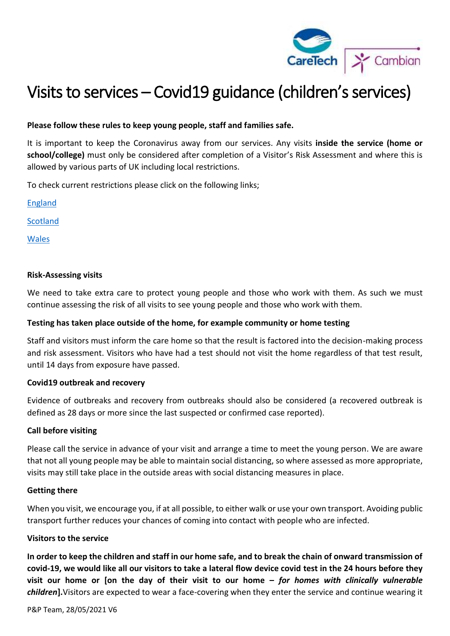

# Visits to services – Covid19 guidance (children's services)

## **Please follow these rules to keep young people, staff and families safe.**

It is important to keep the Coronavirus away from our services. Any visits **inside the service (home or school/college)** must only be considered after completion of a Visitor's Risk Assessment and where this is allowed by various parts of UK including local restrictions.

To check current restrictions please click on the following links;

[England](https://www.gov.uk/guidance/covid-19-coronavirus-restrictions-what-you-can-and-cannot-do)

**[Scotland](https://www.gov.scot/coronavirus-covid-19/)** 

[Wales](https://gov.wales/coronavirus)

### **Risk-Assessing visits**

We need to take extra care to protect young people and those who work with them. As such we must continue assessing the risk of all visits to see young people and those who work with them.

## **Testing has taken place outside of the home, for example community or home testing**

Staff and visitors must inform the care home so that the result is factored into the decision-making process and risk assessment. Visitors who have had a test should not visit the home regardless of that test result, until 14 days from exposure have passed.

### **Covid19 outbreak and recovery**

Evidence of outbreaks and recovery from outbreaks should also be considered (a recovered outbreak is defined as 28 days or more since the last suspected or confirmed case reported).

## **Call before visiting**

Please call the service in advance of your visit and arrange a time to meet the young person. We are aware that not all young people may be able to maintain social distancing, so where assessed as more appropriate, visits may still take place in the outside areas with social distancing measures in place.

## **Getting there**

When you visit, we encourage you, if at all possible, to either walk or use your own transport. Avoiding public transport further reduces your chances of coming into contact with people who are infected.

## **Visitors to the service**

**In order to keep the children and staff in our home safe, and to break the chain of onward transmission of covid-19, we would like all our visitors to take a lateral flow device covid test in the 24 hours before they visit our home or [on the day of their visit to our home –** *for homes with clinically vulnerable children***].**Visitors are expected to wear a face-covering when they enter the service and continue wearing it